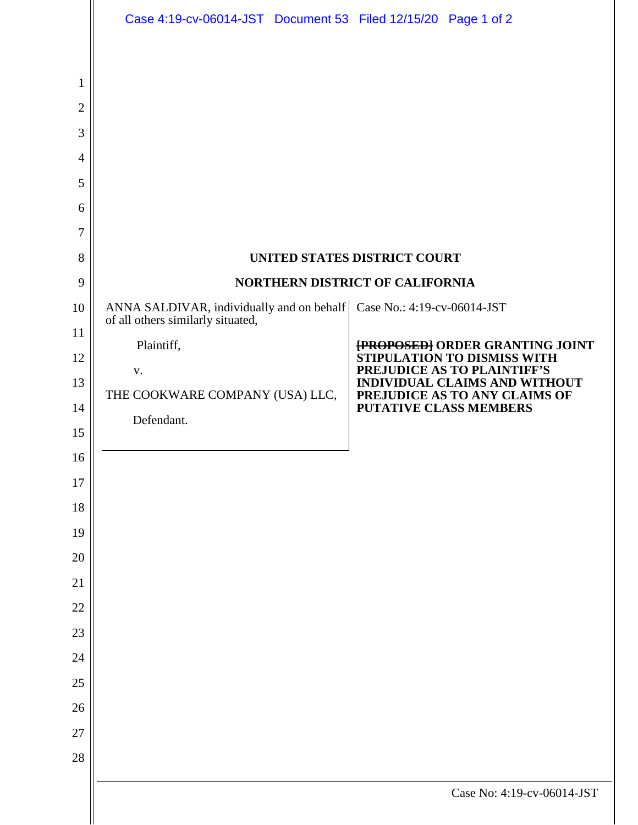|                                                                     | Case 4:19-cv-06014-JST Document 53 Filed 12/15/20 Page 1 of 2           |                                                                       |
|---------------------------------------------------------------------|-------------------------------------------------------------------------|-----------------------------------------------------------------------|
| 1<br>$\overline{2}$<br>3<br>$\overline{4}$<br>5<br>6<br>7<br>8<br>9 | UNITED STATES DISTRICT COURT<br>NORTHERN DISTRICT OF CALIFORNIA         |                                                                       |
| 10                                                                  | ANNA SALDIVAR, individually and on behalf   Case No.: 4:19-cv-06014-JST |                                                                       |
| 11                                                                  | of all others similarly situated,                                       |                                                                       |
| 12                                                                  | Plaintiff,                                                              | <b>{PROPOSED}</b> ORDER GRANTING JOINT<br>STIPULATION TO DISMISS WITH |
| 13                                                                  | ${\bf V}$ .                                                             | PREJUDICE AS TO PLAINTIFF'S<br>INDIVIDUAL CLAIMS AND WITHOUT          |
| 14                                                                  | THE COOKWARE COMPANY (USA) LLC,                                         | PREJUDICE AS TO ANY CLAIMS OF<br><b>PUTATIVE CLASS MEMBERS</b>        |
| 15                                                                  | Defendant.                                                              |                                                                       |
| 16                                                                  |                                                                         |                                                                       |
| 17                                                                  |                                                                         |                                                                       |
| 18                                                                  |                                                                         |                                                                       |
| 19                                                                  |                                                                         |                                                                       |
| 20                                                                  |                                                                         |                                                                       |
| 21<br>22                                                            |                                                                         |                                                                       |
| 23                                                                  |                                                                         |                                                                       |
| 24                                                                  |                                                                         |                                                                       |
| $25\,$                                                              |                                                                         |                                                                       |
| 26                                                                  |                                                                         |                                                                       |
| $27\,$                                                              |                                                                         |                                                                       |
| 28                                                                  |                                                                         |                                                                       |
|                                                                     |                                                                         | Case No: 4:19-cv-06014-JST                                            |
|                                                                     |                                                                         |                                                                       |